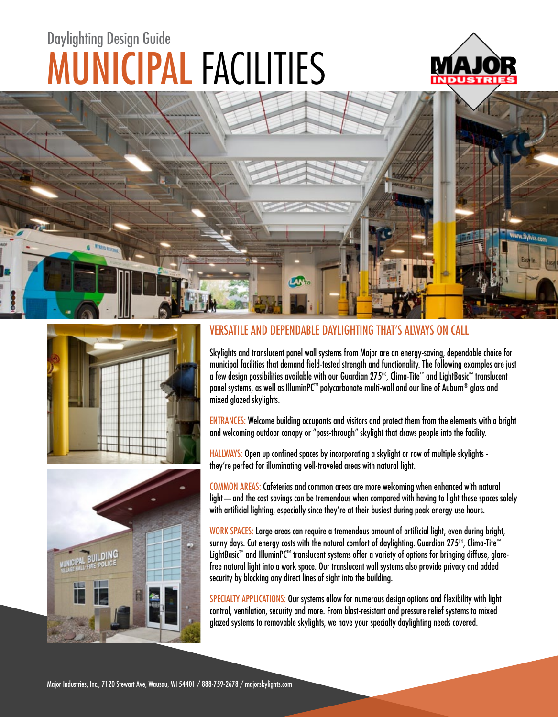# MUNICIPAL FACILITIES Daylighting Design Guide









### VERSATILE AND DEPENDABLE DAYLIGHTING THAT'S ALWAYS ON CALL

Skylights and translucent panel wall systems from Major are an energy-saving, dependable choice for municipal facilities that demand field-tested strength and functionality. The following examples are just a few design possibilities available with our Guardian 275®, Clima-Tite™ and LightBasic™ translucent panel systems, as well as IlluminPC™ polycarbonate multi-wall and our line of Auburn® glass and mixed glazed skylights.

ENTRANCES: Welcome building occupants and visitors and protect them from the elements with a bright and welcoming outdoor canopy or "pass-through" skylight that draws people into the facility.

HALLWAYS: Open up confined spaces by incorporating a skylight or row of multiple skylights they're perfect for illuminating well-traveled areas with natural light.

COMMON AREAS: Cafeterias and common areas are more welcoming when enhanced with natural light—and the cost savings can be tremendous when compared with having to light these spaces solely with artificial lighting, especially since they're at their busiest during peak energy use hours.

WORK SPACES: Large areas can require a tremendous amount of artificial light, even during bright, sunny days. Cut energy costs with the natural comfort of daylighting. Guardian 275®, Clima-Tite™ LightBasic™ and IlluminPC™ translucent systems offer a variety of options for bringing diffuse, glarefree natural light into a work space. Our translucent wall systems also provide privacy and added security by blocking any direct lines of sight into the building.

SPECIALTY APPLICATIONS: Our systems allow for numerous design options and flexibility with light control, ventilation, security and more. From blast-resistant and pressure relief systems to mixed glazed systems to removable skylights, we have your specialty daylighting needs covered.